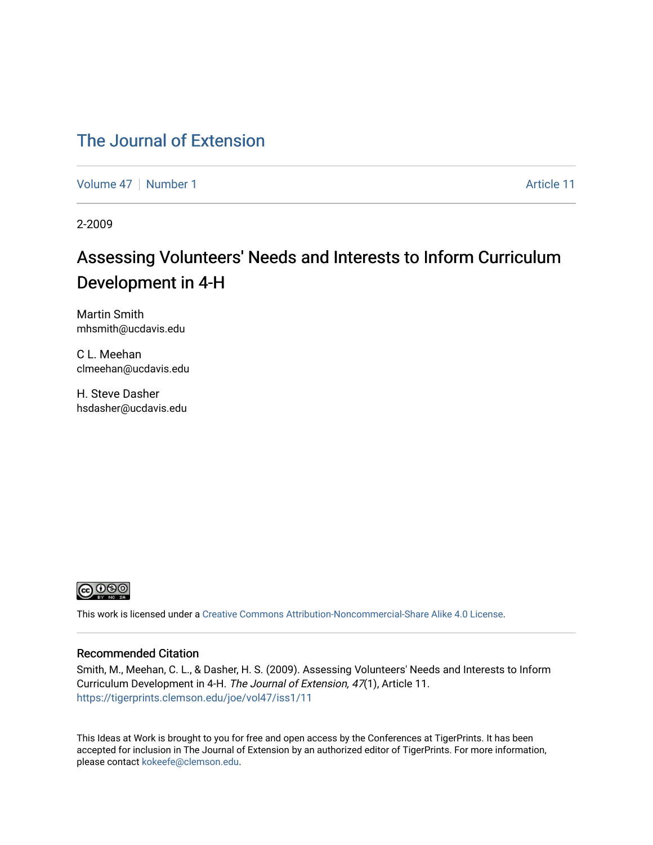### [The Journal of Extension](https://tigerprints.clemson.edu/joe)

[Volume 47](https://tigerprints.clemson.edu/joe/vol47) | [Number 1](https://tigerprints.clemson.edu/joe/vol47/iss1) Article 11

2-2009

## Assessing Volunteers' Needs and Interests to Inform Curriculum Development in 4-H

Martin Smith mhsmith@ucdavis.edu

C L. Meehan clmeehan@ucdavis.edu

H. Steve Dasher hsdasher@ucdavis.edu



This work is licensed under a [Creative Commons Attribution-Noncommercial-Share Alike 4.0 License.](https://creativecommons.org/licenses/by-nc-sa/4.0/)

#### Recommended Citation

Smith, M., Meehan, C. L., & Dasher, H. S. (2009). Assessing Volunteers' Needs and Interests to Inform Curriculum Development in 4-H. The Journal of Extension, 47(1), Article 11. <https://tigerprints.clemson.edu/joe/vol47/iss1/11>

This Ideas at Work is brought to you for free and open access by the Conferences at TigerPrints. It has been accepted for inclusion in The Journal of Extension by an authorized editor of TigerPrints. For more information, please contact [kokeefe@clemson.edu](mailto:kokeefe@clemson.edu).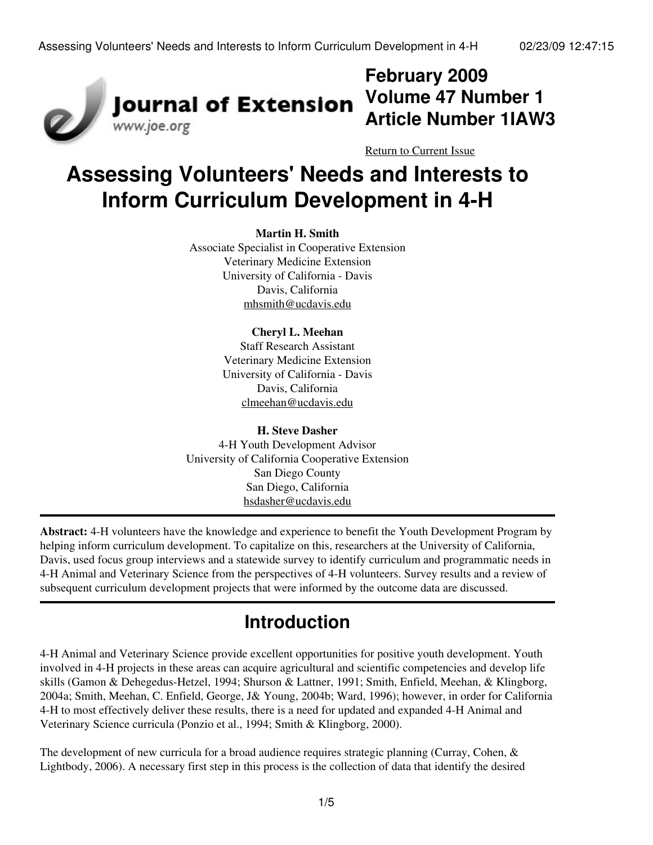

## **February 2009 Volume 47 Number 1 Article Number 1IAW3**

[Return to Current Issue](http://www.joe.org:80/joe/2009february/)

# **Assessing Volunteers' Needs and Interests to Inform Curriculum Development in 4-H**

#### **Martin H. Smith**

Associate Specialist in Cooperative Extension Veterinary Medicine Extension University of California - Davis Davis, California [mhsmith@ucdavis.edu](mailto:mhsmith@ucdavis.edu)

#### **Cheryl L. Meehan**

Staff Research Assistant Veterinary Medicine Extension University of California - Davis Davis, California [clmeehan@ucdavis.edu](mailto:clmeehan@ucdavis.edu)

#### **H. Steve Dasher** 4-H Youth Development Advisor University of California Cooperative Extension San Diego County San Diego, California [hsdasher@ucdavis.edu](mailto:hsdasher@ucdavis.edu)

**Abstract:** 4-H volunteers have the knowledge and experience to benefit the Youth Development Program by helping inform curriculum development. To capitalize on this, researchers at the University of California, Davis, used focus group interviews and a statewide survey to identify curriculum and programmatic needs in 4-H Animal and Veterinary Science from the perspectives of 4-H volunteers. Survey results and a review of subsequent curriculum development projects that were informed by the outcome data are discussed.

## **Introduction**

4-H Animal and Veterinary Science provide excellent opportunities for positive youth development. Youth involved in 4-H projects in these areas can acquire agricultural and scientific competencies and develop life skills (Gamon & Dehegedus-Hetzel, 1994; Shurson & Lattner, 1991; Smith, Enfield, Meehan, & Klingborg, 2004a; Smith, Meehan, C. Enfield, George, J& Young, 2004b; Ward, 1996); however, in order for California 4-H to most effectively deliver these results, there is a need for updated and expanded 4-H Animal and Veterinary Science curricula (Ponzio et al., 1994; Smith & Klingborg, 2000).

The development of new curricula for a broad audience requires strategic planning (Curray, Cohen, & Lightbody, 2006). A necessary first step in this process is the collection of data that identify the desired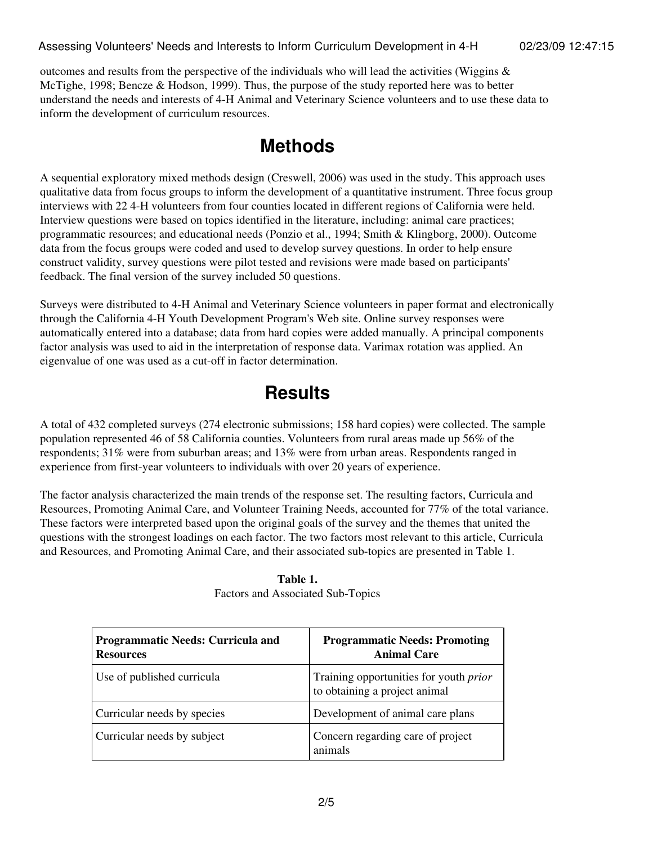outcomes and results from the perspective of the individuals who will lead the activities (Wiggins  $\&$ McTighe, 1998; Bencze & Hodson, 1999). Thus, the purpose of the study reported here was to better understand the needs and interests of 4-H Animal and Veterinary Science volunteers and to use these data to inform the development of curriculum resources.

### **Methods**

A sequential exploratory mixed methods design (Creswell, 2006) was used in the study. This approach uses qualitative data from focus groups to inform the development of a quantitative instrument. Three focus group interviews with 22 4-H volunteers from four counties located in different regions of California were held. Interview questions were based on topics identified in the literature, including: animal care practices; programmatic resources; and educational needs (Ponzio et al., 1994; Smith & Klingborg, 2000). Outcome data from the focus groups were coded and used to develop survey questions. In order to help ensure construct validity, survey questions were pilot tested and revisions were made based on participants' feedback. The final version of the survey included 50 questions.

Surveys were distributed to 4-H Animal and Veterinary Science volunteers in paper format and electronically through the California 4-H Youth Development Program's Web site. Online survey responses were automatically entered into a database; data from hard copies were added manually. A principal components factor analysis was used to aid in the interpretation of response data. Varimax rotation was applied. An eigenvalue of one was used as a cut-off in factor determination.

## **Results**

A total of 432 completed surveys (274 electronic submissions; 158 hard copies) were collected. The sample population represented 46 of 58 California counties. Volunteers from rural areas made up 56% of the respondents; 31% were from suburban areas; and 13% were from urban areas. Respondents ranged in experience from first-year volunteers to individuals with over 20 years of experience.

The factor analysis characterized the main trends of the response set. The resulting factors, Curricula and Resources, Promoting Animal Care, and Volunteer Training Needs, accounted for 77% of the total variance. These factors were interpreted based upon the original goals of the survey and the themes that united the questions with the strongest loadings on each factor. The two factors most relevant to this article, Curricula and Resources, and Promoting Animal Care, and their associated sub-topics are presented in Table 1.

| <b>Programmatic Needs: Curricula and</b><br><b>Resources</b> | <b>Programmatic Needs: Promoting</b><br><b>Animal Care</b>              |
|--------------------------------------------------------------|-------------------------------------------------------------------------|
| Use of published curricula                                   | Training opportunities for youth prior<br>to obtaining a project animal |
| Curricular needs by species                                  | Development of animal care plans                                        |
| Curricular needs by subject                                  | Concern regarding care of project<br>animals                            |

**Table 1.** Factors and Associated Sub-Topics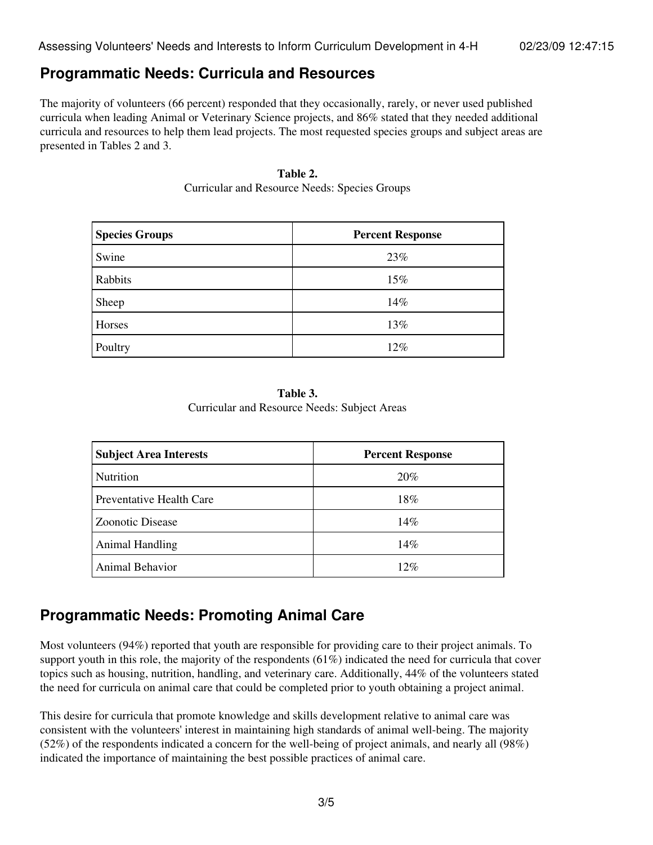#### **Programmatic Needs: Curricula and Resources**

The majority of volunteers (66 percent) responded that they occasionally, rarely, or never used published curricula when leading Animal or Veterinary Science projects, and 86% stated that they needed additional curricula and resources to help them lead projects. The most requested species groups and subject areas are presented in Tables 2 and 3.

#### **Table 2.**

| <b>Species Groups</b> | <b>Percent Response</b> |
|-----------------------|-------------------------|
| Swine                 | 23%                     |
| Rabbits               | 15%                     |
| Sheep                 | 14%                     |
| Horses                | 13%                     |
| Poultry               | $12\%$                  |

Curricular and Resource Needs: Species Groups

**Table 3.** Curricular and Resource Needs: Subject Areas

| <b>Subject Area Interests</b> | <b>Percent Response</b> |
|-------------------------------|-------------------------|
| Nutrition                     | 20%                     |
| Preventative Health Care      | 18%                     |
| Zoonotic Disease              | 14%                     |
| <b>Animal Handling</b>        | 14%                     |
| Animal Behavior               | 12%                     |

#### **Programmatic Needs: Promoting Animal Care**

Most volunteers (94%) reported that youth are responsible for providing care to their project animals. To support youth in this role, the majority of the respondents (61%) indicated the need for curricula that cover topics such as housing, nutrition, handling, and veterinary care. Additionally, 44% of the volunteers stated the need for curricula on animal care that could be completed prior to youth obtaining a project animal.

This desire for curricula that promote knowledge and skills development relative to animal care was consistent with the volunteers' interest in maintaining high standards of animal well-being. The majority (52%) of the respondents indicated a concern for the well-being of project animals, and nearly all (98%) indicated the importance of maintaining the best possible practices of animal care.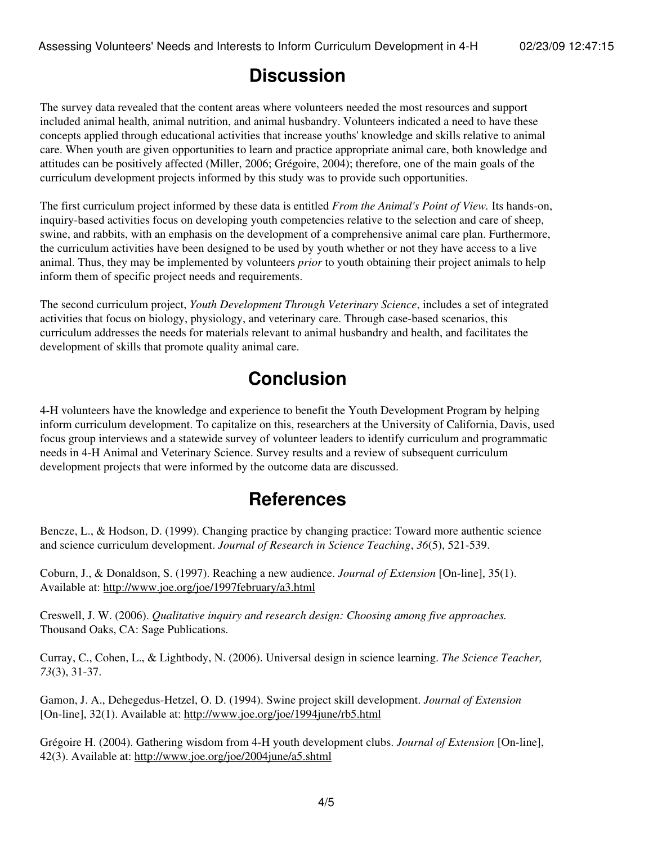### **Discussion**

The survey data revealed that the content areas where volunteers needed the most resources and support included animal health, animal nutrition, and animal husbandry. Volunteers indicated a need to have these concepts applied through educational activities that increase youths' knowledge and skills relative to animal care. When youth are given opportunities to learn and practice appropriate animal care, both knowledge and attitudes can be positively affected (Miller, 2006; Grégoire, 2004); therefore, one of the main goals of the curriculum development projects informed by this study was to provide such opportunities.

The first curriculum project informed by these data is entitled *From the Animal's Point of View.* Its hands-on, inquiry-based activities focus on developing youth competencies relative to the selection and care of sheep, swine, and rabbits, with an emphasis on the development of a comprehensive animal care plan. Furthermore, the curriculum activities have been designed to be used by youth whether or not they have access to a live animal. Thus, they may be implemented by volunteers *prior* to youth obtaining their project animals to help inform them of specific project needs and requirements.

The second curriculum project, *Youth Development Through Veterinary Science*, includes a set of integrated activities that focus on biology, physiology, and veterinary care. Through case-based scenarios, this curriculum addresses the needs for materials relevant to animal husbandry and health, and facilitates the development of skills that promote quality animal care.

## **Conclusion**

4-H volunteers have the knowledge and experience to benefit the Youth Development Program by helping inform curriculum development. To capitalize on this, researchers at the University of California, Davis, used focus group interviews and a statewide survey of volunteer leaders to identify curriculum and programmatic needs in 4-H Animal and Veterinary Science. Survey results and a review of subsequent curriculum development projects that were informed by the outcome data are discussed.

### **References**

Bencze, L., & Hodson, D. (1999). Changing practice by changing practice: Toward more authentic science and science curriculum development. *Journal of Research in Science Teaching*, *36*(5), 521-539.

Coburn, J., & Donaldson, S. (1997). Reaching a new audience. *Journal of Extension* [On-line], 35(1). Available at: <http://www.joe.org/joe/1997february/a3.html>

Creswell, J. W. (2006). *Qualitative inquiry and research design: Choosing among five approaches.* Thousand Oaks, CA: Sage Publications.

Curray, C., Cohen, L., & Lightbody, N. (2006). Universal design in science learning. *The Science Teacher, 73*(3), 31-37.

Gamon, J. A., Dehegedus-Hetzel, O. D. (1994). Swine project skill development. *Journal of Extension* [On-line], 32(1). Available at: <http://www.joe.org/joe/1994june/rb5.html>

Grégoire H. (2004). Gathering wisdom from 4-H youth development clubs. *Journal of Extension* [On-line], 42(3). Available at:<http://www.joe.org/joe/2004june/a5.shtml>